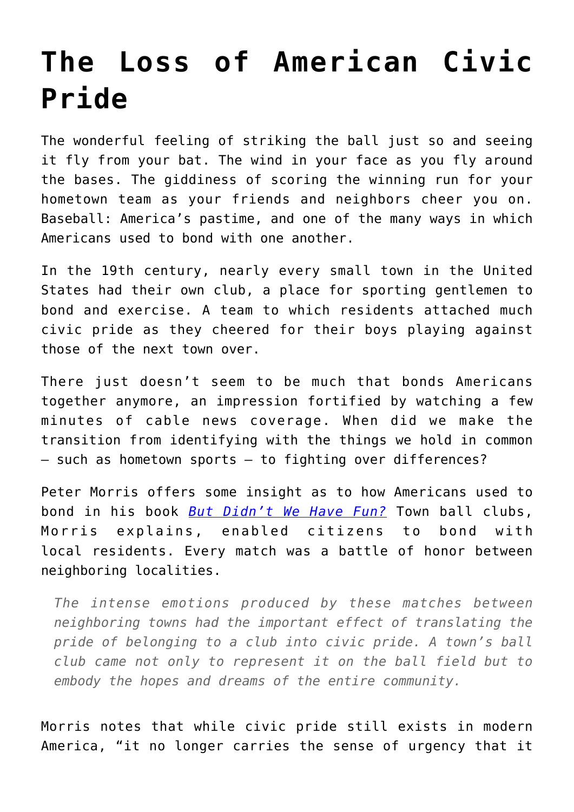## **[The Loss of American Civic](https://intellectualtakeout.org/2020/01/the-loss-of-american-civic-pride/) [Pride](https://intellectualtakeout.org/2020/01/the-loss-of-american-civic-pride/)**

The wonderful feeling of striking the ball just so and seeing it fly from your bat. The wind in your face as you fly around the bases. The giddiness of scoring the winning run for your hometown team as your friends and neighbors cheer you on. Baseball: America's pastime, and one of the many ways in which Americans used to bond with one another.

In the 19th century, nearly every small town in the United States had their own club, a place for sporting gentlemen to bond and exercise. A team to which residents attached much civic pride as they cheered for their boys playing against those of the next town over.

There just doesn't seem to be much that bonds Americans together anymore, an impression fortified by watching a few minutes of cable news coverage. When did we make the transition from identifying with the things we hold in common – such as hometown sports – to fighting over differences?

Peter Morris offers some insight as to how Americans used to bond in his book *[But Didn't We Have Fun?](https://www.amazon.com/gp/product/1566638496/ref=as_li_tl?ie=UTF8&camp=1789&creative=9325&creativeASIN=1566638496&linkCode=as2&tag=intelltakeo0d-20&linkId=8c44e5e17b2a77cce768426cf4dc21d4)* Town ball clubs, Morris explains, enabled citizens to bond with local residents. Every match was a battle of honor between neighboring localities.

*The intense emotions produced by these matches between neighboring towns had the important effect of translating the pride of belonging to a club into civic pride. A town's ball club came not only to represent it on the ball field but to embody the hopes and dreams of the entire community.*

Morris notes that while civic pride still exists in modern America, "it no longer carries the sense of urgency that it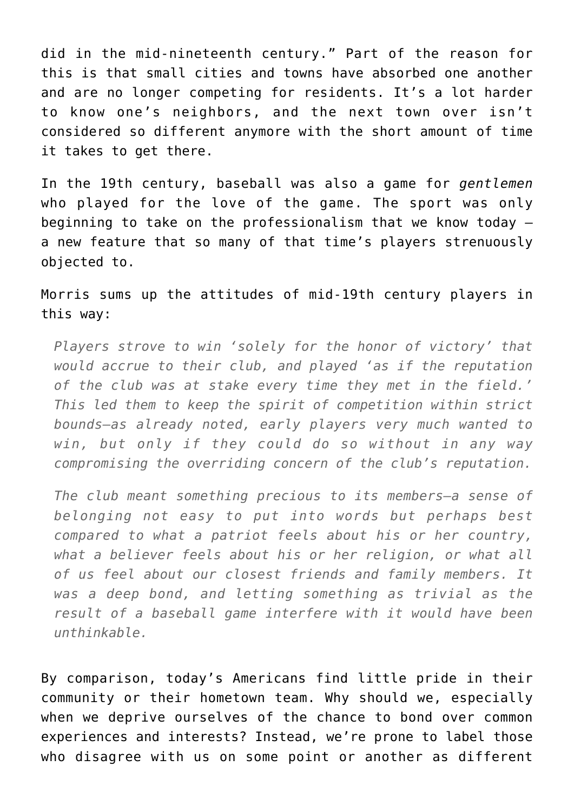did in the mid-nineteenth century." Part of the reason for this is that small cities and towns have absorbed one another and are no longer competing for residents. It's a lot harder to know one's neighbors, and the next town over isn't considered so different anymore with the short amount of time it takes to get there.

In the 19th century, baseball was also a game for *gentlemen* who played for the love of the game. The sport was only beginning to take on the professionalism that we know today – a new feature that so many of that time's players strenuously objected to.

Morris sums up the attitudes of mid-19th century players in this way:

*Players strove to win 'solely for the honor of victory' that would accrue to their club, and played 'as if the reputation of the club was at stake every time they met in the field.' This led them to keep the spirit of competition within strict bounds—as already noted, early players very much wanted to win, but only if they could do so without in any way compromising the overriding concern of the club's reputation.*

*The club meant something precious to its members—a sense of belonging not easy to put into words but perhaps best compared to what a patriot feels about his or her country, what a believer feels about his or her religion, or what all of us feel about our closest friends and family members. It was a deep bond, and letting something as trivial as the result of a baseball game interfere with it would have been unthinkable.*

By comparison, today's Americans find little pride in their community or their hometown team. Why should we, especially when we deprive ourselves of the chance to bond over common experiences and interests? Instead, we're prone to label those who disagree with us on some point or another as different